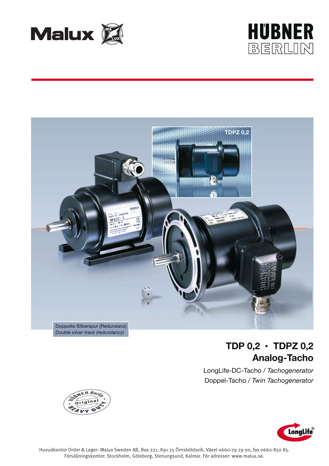





# **TDP 0,2 • TDPZ 0,2 Analog-Tacho**

LongLife-DC-Tacho / *Tachogenerator* Doppel-Tacho / *Twin Tachogenerator*



 $B$   $B$   $\rho$ .

Huvudkontor Order & Lager: Malux Sweden AB, Box 221, 891 25 Örnsköldsvik. Växel 0660-29 29 00, fax 0660-850 85. Försäljningskontor: Stockholm, Göteborg, Stenungsund, Kalmar. För adresser: www.malux.se.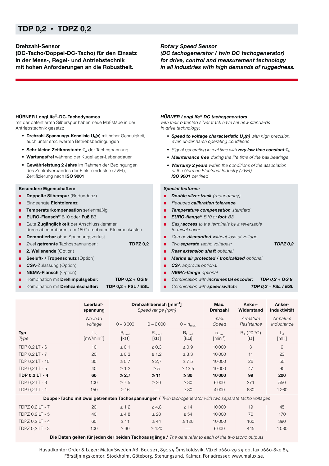# **TDP 0,2 • TDPZ 0,2**

## **Drehzahl-Sensor**

**(DC-Tacho/Doppel-DC-Tacho) für den Einsatz in der Mess-, Regel- und Antriebstechnik mit hohen Anforderungen an die Robustheit.**

### *Rotary Speed Sensor*

*(DC tachogenerator / twin DC tachogenerator) for drive, control and measurement technology in all industries with high demands of ruggedness.*

### **HÜBNER LongLife®-DC-Tachodynamos**

mit der patentierten Silberspur haben neue Maßstäbe in der Antriebstechnik gesetzt:

- **•** Drehzahl-Spannungs-Kennlinie U<sub>0</sub>(n) mit hoher Genauigkeit, auch unter erschwerten Betriebsbedingungen
- **Sehr kleine Zeitkonstante τ<sub>A</sub> der Tachospannung**
- **Wartungsfrei** während der Kugellager-Lebensdauer
- **Gewährleistung 2 Jahre** im Rahmen der Bedingungen des Zentralverbandes der Elektroindustrie (ZVEI), Zertifizierung nach **ISO 9001**

#### **Besondere Eigenschaften:**

- **Doppelte Silberspur** (Redundanz)
- Eingeengte **Eichtoleranz**
- **■ Temperaturkompensation** serienmäßig
- **EURO-Flansch®** B10 oder **Fuß** B3
- Gute Zugänglichkeit der Anschlussklemmen durch abnehmbaren, um 180° drehbaren Klemmenkasten
- **Demontierbar** ohne Spannungsverlust
- Zwei **getrennte** Tachospannungen: **TDPZ 0,2**
- 2. Wellenende (Option)
- **Seeluft- / Tropenschutz** (Option)
- **CSA-**Zulassung (Option)
- **NEMA-Flansch** (Option)
- Kombination mit **Drehimpulsgeber: TDP 0,2 + OG 9**
- Kombination mit **Drehzahlschalter: TDP 0,2 + FSL / ESL**

#### *HÜBNER LongLife® DC tachogenerators*

with their patented silver track have set new standards in drive technology:

- **•** Speed to voltage characteristic  $U_0(n)$  with high precision, even under harsh operating conditions
- Signal generating in real time with **very low time constant**  $τ_A$
- **•** *Maintenance free* during the life time of the ball bearings
- **•** *Warranty 2 years* within the conditions of the association of the German Electrical Industry (ZVEI), *ISO 9001* certified

#### *Special features:*

- *Double silver track (redundancy)*
- Reduced *calibration tolerance*
- *Temperature compensation* standard
- *EURO-flange***®** B10 or *foot* B3
- Easy **access** to the terminals by a reversable terminal cover
- Can be **dismantled** without loss of voltage
- Two *separate* tacho voltages: *TDPZ 0,2*
- **Rear extension shaft** optional
- *Marine air protected / tropicalized optional*
- **CSA** approval optional
- *NEMA-flange* optional
- Combination with *incremental encoder:* TDP 0,2 + OG 9
- Combination with **speed switch: TDP 0,2 + FSL / ESL**

|                                                                                                         | Leerlauf-<br>spannung                  |                           | Drehzahlbereich [min <sup>-1</sup> ]<br>Speed range [rpm] |                           | Max.<br><b>Drehzahl</b>                      | Anker-<br>Widerstand                    | Anker-<br><b>Induktivität</b> |  |  |  |  |  |
|---------------------------------------------------------------------------------------------------------|----------------------------------------|---------------------------|-----------------------------------------------------------|---------------------------|----------------------------------------------|-----------------------------------------|-------------------------------|--|--|--|--|--|
|                                                                                                         | No-load<br>voltage                     | $0 - 3000$                | $0 - 6000$                                                | $0 - n_{max}$             | max.<br>Speed                                | Armature<br>Resistance                  | Armature<br>Inductance        |  |  |  |  |  |
| <b>Typ</b><br>Type                                                                                      | $U_{0}$<br>$\lceil mV/min^{-1} \rceil$ | $R_{Load}$<br>$[k\Omega]$ | $R_{Load}$<br>$[k\Omega]$                                 | $R_{Load}$<br>$[k\Omega]$ | $n_{max}$<br>$\lceil \text{min}^{-1} \rceil$ | $R_A$ (20 °C)<br>$\lceil \Omega \rceil$ | $L_A$<br>[MH]                 |  |  |  |  |  |
| TDP 0.2 LT - 6                                                                                          | 10                                     | $\geq 0.1$                | $\geq 0.3$                                                | $\geq 0.9$                | 10000                                        | 3                                       | 6                             |  |  |  |  |  |
| TDP 0.2 LT - 7                                                                                          | 20                                     | $\geq 0.3$                | $\geq 1,2$                                                | $\geq 3.3$                | 10000                                        | 11                                      | 23                            |  |  |  |  |  |
| TDP 0.2 LT - 10                                                                                         | 30                                     | $\geq 0.7$                | $\geq 2.7$                                                | $\geq 7.5$                | 10 000                                       | 26                                      | 50                            |  |  |  |  |  |
| TDP 0.2 LT - 5                                                                                          | 40                                     | $\geq 1.2$                | $\geq 5$                                                  | $\geq 13.5$               | 10000                                        | 47                                      | 90                            |  |  |  |  |  |
| TDP 0.2 LT - 4                                                                                          | 60                                     | $\geq 2,7$                | $\geq 11$                                                 | $\geq 30$                 | 10000                                        | 99                                      | 200                           |  |  |  |  |  |
| TDP 0.2 LT - 3                                                                                          | 100                                    | $\geq 7.5$                | $\geq 30$                                                 | $\geq 30$                 | 6000                                         | 271                                     | 550                           |  |  |  |  |  |
| TDP 0.2 LT - 1                                                                                          | 150                                    | $\geq 16$                 |                                                           | $\geq 30$                 | 4000                                         | 630                                     | 1260                          |  |  |  |  |  |
| Doppel-Tacho mit zwei getrennten Tachospannungen / Twin tachogenerator with two separate tacho voltages |                                        |                           |                                                           |                           |                                              |                                         |                               |  |  |  |  |  |
| TDPZ 0,2 LT - 7                                                                                         | 20                                     | $\geq 1,2$                | $\geq 4,8$                                                | $\geq 14$                 | 10000                                        | 19                                      | 45                            |  |  |  |  |  |
| TDPZ 0,2 LT - 5                                                                                         | 40                                     | $\geq 4.8$                | $\geq 20$                                                 | $\geq 54$                 | 10000                                        | 70                                      | 170                           |  |  |  |  |  |
| TDPZ 0,2 LT - 4                                                                                         | 60                                     | $\geq$ 11                 | $\geq 44$                                                 | $\geq 120$                | 10000                                        | 160                                     | 390                           |  |  |  |  |  |
| TDPZ 0,2 LT - 3                                                                                         | 100                                    | $\geq 30$                 | $\geq 120$                                                |                           | 6000                                         | 445                                     | 1080                          |  |  |  |  |  |

**Die Daten gelten für jeden der beiden Tachoausgänge /** The data refer to each of the two tacho outputs

Huvudkontor Order & Lager: Malux Sweden AB, Box 221, 891 25 Örnsköldsvik. Växel 0660-29 29 00, fax 0660-850 85. Försäljningskontor: Stockholm, Göteborg, Stenungsund, Kalmar. För adresser: www.malux.se.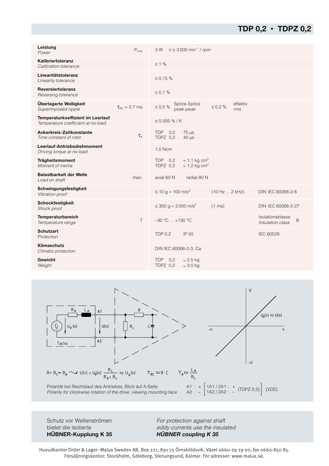# **TDP 0,2 • TDPZ 0,2**

| Leistung<br>Power                                                       | $P_{\text{max}}$     | $n \geq 3000$ min <sup>-1</sup> / rpm<br>3 W |                                                                      |                  |                 |                                      |   |  |
|-------------------------------------------------------------------------|----------------------|----------------------------------------------|----------------------------------------------------------------------|------------------|-----------------|--------------------------------------|---|--|
| Kalibriertoleranz<br>Calibration tolerance                              |                      | ±1%                                          |                                                                      |                  |                 |                                      |   |  |
| Linearitätstoleranz<br>Linearity tolerance                              |                      | $\leq 0.15 \%$                               |                                                                      |                  |                 |                                      |   |  |
| Reversiertoleranz<br>Reversing tolerance                                |                      | $\leq 0.1 \%$                                |                                                                      |                  |                 |                                      |   |  |
| Überlagerte Welligkeit<br>Superimposed ripple                           | $\tau_{BC} = 0.7$ ms | $\leq 0.5 \%$                                | Spitze-Spitze<br>peak-peak                                           | $\leq 0.2 \%$    | effektiv<br>rms |                                      |   |  |
| Temperaturkoeffizient im Leerlauf<br>Temperature coefficient at no-load |                      | $± 0,005 %$ /K                               |                                                                      |                  |                 |                                      |   |  |
| Ankerkreis-Zeitkonstante<br>Time constant of rotor                      | $\tau_{\text{A}}$    | <b>TDP</b><br>0,2<br>TDPZ 0.2                | $75 \mu s$<br>$40 \mu s$                                             |                  |                 |                                      |   |  |
| Leerlauf-Antriebsdrehmoment<br>Driving torque at no-load                |                      | 1,5 Ncm                                      |                                                                      |                  |                 |                                      |   |  |
| <b>Trägheitsmoment</b><br>Moment of inertia                             |                      | TDP<br>0,2<br>TDPZ 0.2                       | $\approx$ 1,1 kg cm <sup>2</sup><br>$\approx$ 1,2 kg cm <sup>2</sup> |                  |                 |                                      |   |  |
| <b>Belastbarkeit der Welle</b><br>Load on shaft                         | max.                 | axial 60 N                                   | radial 80 N                                                          |                  |                 |                                      |   |  |
| Schwingungsfestigkeit<br>Vibration proof                                |                      | ≤ 10 g ≈ 100 m/s <sup>2</sup>                |                                                                      | (10 Hz  2 kHz)   |                 | DIN IEC 60068-2-6                    |   |  |
| <b>Schockfestigkeit</b><br>Shock proof                                  |                      | ≤ 300 g ≈ 3 000 m/s <sup>2</sup>             |                                                                      | $(1 \text{ ms})$ |                 | DIN IEC 60068-2-27                   |   |  |
| Temperaturbereich<br>Temperature range                                  | $\top$               | $-30 °C$ $+130 °C$                           |                                                                      |                  |                 | Isolationsklasse<br>Insulation class | B |  |
| <b>Schutzart</b><br>Protection                                          |                      | <b>TDP 0.2</b>                               | IP 55                                                                |                  |                 | <b>IEC 60529</b>                     |   |  |
| Klimaschutz<br>Climatic protection                                      |                      | DIN IEC 60068-2-3, Ca                        |                                                                      |                  |                 |                                      |   |  |
| Gewicht<br>Weight                                                       |                      | TDP 0.2<br>TDPZ 0.2                          | $\approx$ 2,5 kg<br>$\approx$ 3,0 kg                                 |                  |                 |                                      |   |  |



**HÜBNER-Kupplung K 35** *HÜBNER coupling K 35*

Schutz vor Wellenströmen For protection against shaft bietet die isolierte entry the eddy currents use the insulated

Huvudkontor Order & Lager: Malux Sweden AB, Box 221, 891 25 Örnsköldsvik. Växel 0660-29 29 00, fax 0660-850 85. Försäljningskontor: Stockholm, Göteborg, Stenungsund, Kalmar. För adresser: www.malux.se.